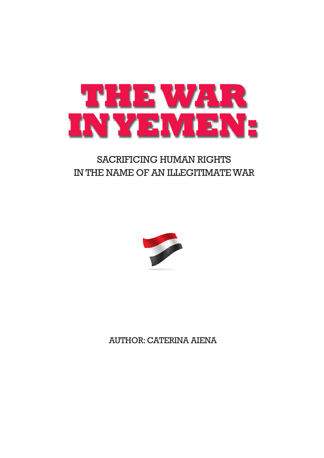

# SACRIFICING HUMAN RIGHTS IN THE NAME OF AN ILLEGITIMATE WAR



AUTHOR:CATERINA AIENA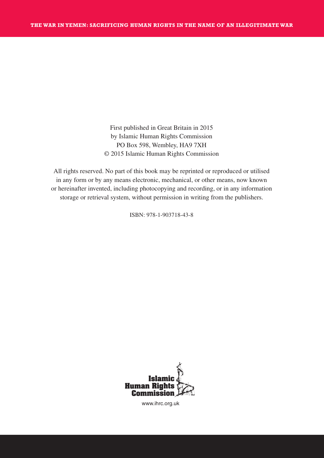First published in Great Britain in 2015 by Islamic Human Rights Commission PO Box 598, Wembley, HA9 7XH © 2015 Islamic Human Rights Commission

All rights reserved. No part of this book may be reprinted or reproduced or utilised in any form or by any means electronic, mechanical, or other means, now known or hereinafter invented, including photocopying and recording, or in any information storage or retrieval system, without permission in writing from the publishers.

ISBN: 978-1-903718-43-8



www.ihrc.org.uk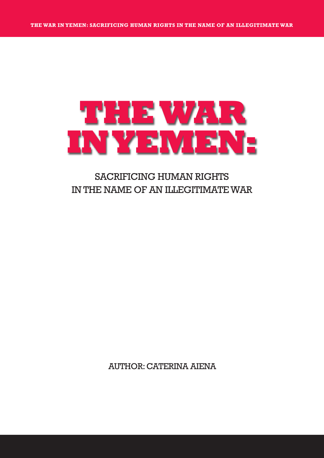# **THEWAR INYEMEN:**

## SACRIFICING HUMAN RIGHTS IN THE NAME OF AN ILLEGITIMATE WAR

AUTHOR:CATERINA AIENA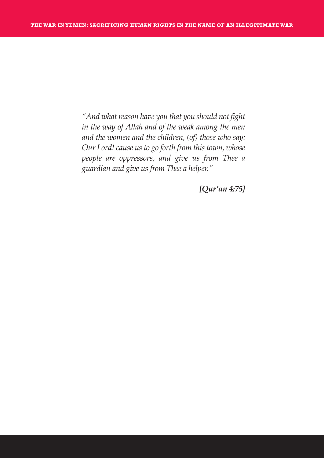*"And what reason have you that you should not fight in the way of Allah and of the weak among the men and the women and the children, (of) those who say: Our Lord! cause usto go forth from thistown, whose people are oppressors, and give us from Thee a guardian and give us from Thee a helper."*

*[Qur'an 4:75]*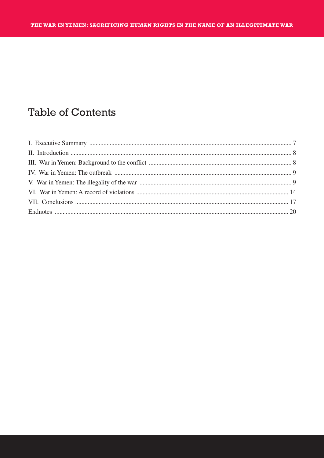# **Table of Contents**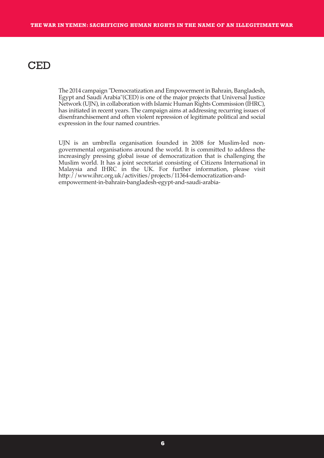## **CED**

The 2014 campaign "Democratization and Empowerment in Bahrain, Bangladesh, Egypt and Saudi Arabia"(CED) is one of the major projects that Universal Justice Network (UJN), in collaboration with Islamic Human Rights Commission (IHRC), has initiated in recent years. The campaign aims at addressing recurring issues of disenfranchisement and often violent repression of legitimate political and social expression in the four named countries.

UJN is an umbrella organisation founded in 2008 for Muslim-led nongovernmental organisations around the world. It is committed to address the increasingly pressing global issue of democratization that is challenging the Muslim world. It has a joint secretariat consisting of Citizens International in Malaysia and IHRC in the UK. For further information, please visit http://www.ihrc.org.uk/activities/projects/11364-democratization-andempowerment-in-bahrain-bangladesh-egypt-and-saudi-arabia-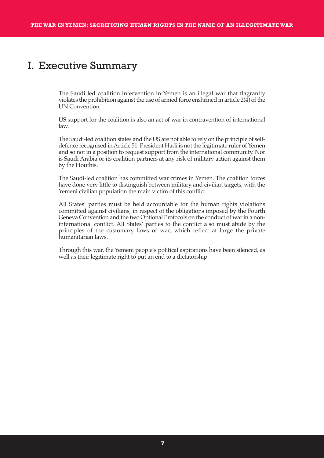## I. Executive Summary

The Saudi led coalition intervention in Yemen is an illegal war that flagrantly violates the prohibition against the use of armed force enshrined in article  $2(4)$  of the UN Convention.

US support for the coalition is also an act of war in contravention of international law.

The Saudi-led coalition states and the US are not able to rely on the principle of selfdefence recognised in Article 51. President Hadi is not the legitimate ruler of Yemen and so not in a position to request support from the international community. Nor is Saudi Arabia or its coalition partners at any risk of military action against them by the Houthis.

The Saudi-led coalition has committed war crimes in Yemen. The coalition forces have done very little to distinguish between military and civilian targets, with the Yemeni civilian population the main victim of this conflict.

All States' parties must be held accountable for the human rights violations committed against civilians, in respect of the obligations imposed by the Fourth Geneva Convention and the two Optional Protocols on the conduct of warin a noninternational conflict. All States' parties to the conflict also must abide by the principles of the customary laws of war, which reflect at large the private humanitarian laws.

Through this war, the Yemeni people's political aspirations have been silenced, as well as their legitimate right to put an end to a dictatorship.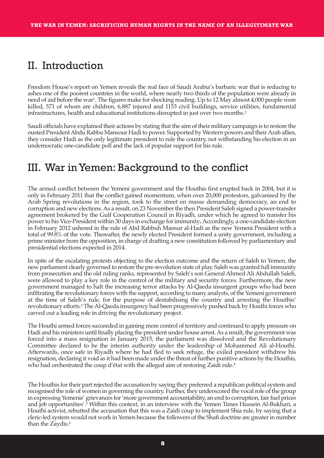## II. Introduction

Freedom House's report on Yemen reveals the real face of Saudi Arabia's barbaric war that is reducing to ashes one of the poorest countries in the world, where nearly two thirds of the population were already in need of aid before the war1. The figures make for shocking reading. Up to 12 May almost 4,000 people were killed, 571 of whom are children, 6,887 injured and 1153 civil buildings, service utilities, fundamental infrastructures, health and educational institutions disrupted in just over two months. 2

Saudi officials have explained their actions by stating that the aim of their military campaign is to restore the ousted President Abdu Rabbu Mansour Hadi to power. Supported by Western powers and their Arab allies, they consider Hadi as the only legitimate president to rule the country, not withstanding his election in an undemocratic one-candidate poll and the lack of popular support for his rule.

## III. War inYemen: Background to the conflict

The armed conflict between the Yemeni government and the Houthis first erupted back in 2004, but it is only in February 2011 that the conflict gained momentum, when over 20,000 protestors, galvanised by the Arab Spring revolutions in the region, took to the street en masse demanding democracy, an end to corruption and new elections. As a result, on 23 November the then President Saleh signed a power-transfer agreement brokered by the Gulf Cooperation Council in Riyadh, under which he agreed to transfer his power to his Vice-President within 30 days in exchange for immunity. Accordingly, a one-candidate election in February 2012 ushered in the rule of Abd Rabbuh Mansur al-Hadi as the new Yemeni President with a total of 99.8% of the vote. Thereafter, the newly elected President formed a unity government, including a prime minister from the opposition, in charge of drafting a new constitution followed by parliamentary and presidential elections expected in 2014.

In spite of the escalating protests objecting to the election outcome and the return of Saleh to Yemen, the new parliament clearly governed to restore the pre-revolution state of play. Saleh was granted full immunity from prosecution and the old ruling ranks, represented by Saleh's son General Ahmed Ali Abdullah Saleh, were allowed to play a key role in the control of the military and security forces. Furthermore, the new government managed to halt the increasing terror attacks by Al-Qaeda insurgent groups who had been infiltrating the revolutionary forces with the support, according to many analysts, of the Yemeni government at the time of Saleh's rule, for the purpose of destabilising the country and arresting the Houthis' revolutionary efforts. <sup>3</sup> TheAl-Qaeda insurgency had been progressively pushed back by Houthi forces who carved out a leading role in driving the revolutionary project.

The Houthi armed forces succeeded in gaining more control of territory and continued to apply pressure on Hadi and his ministers until finally placing the president under house arrest. As a result, the government was forced into a mass resignation in January 2015, the parliament was dissolved and the Revolutionary Committee declared to be the interim authority under the leadership of Mohammed Ali al-Houthi. Afterwards, once safe in Riyadh where he had fled to seek refuge, the exiled president withdrew his resignation, declaring it void as it had been made under the threat of further punitive actions by the Houthis, who had orchestrated the coup d'état with the alleged aim of restoring Zaidi rule. 4

The Houthis for their part rejected the accusation by saying they preferred a republican political system and recognised the role of women in governing the country. Further, they underscored the vocalrole of the group in expressing Yemenis' grievances for 'more government accountability, an end to corruption, fair fuel prices and job opportunities'. <sup>5</sup> Within this context, in an interview with the Yemen Times Hussein Al-Bukhari, a Houthi activist, rebutted the accusation that this was a Zaidi coup to implement Shia rule, by saying that a cleric-led system would not work in Yemen because the followers of the Shafi doctrine are greater in number than the Zaydis. 6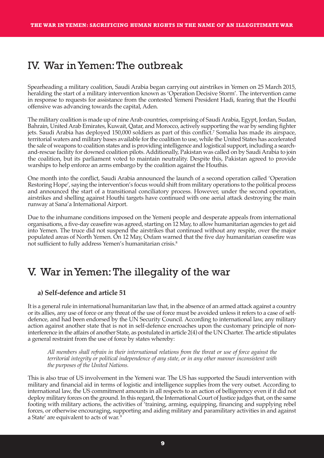## IV. War inYemen:The outbreak

Spearheading a military coalition, Saudi Arabia began carrying out airstrikes in Yemen on 25 March 2015, heralding the start of a military intervention known as 'Operation Decisive Storm'. The intervention came in response to requests for assistance from the contested Yemeni President Hadi, fearing that the Houthi offensive was advancing towards the capital, Aden.

The military coalition is made up of nine Arab countries, comprising of Saudi Arabia, Egypt, Jordan, Sudan, Bahrain, UnitedArab Emirates, Kuwait, Qatar, and Morocco, actively supporting the war by sending fighter jets. Saudi Arabia has deployed 150,000 soldiers as part of this conflict. <sup>7</sup> Somalia has made its airspace, territorial waters and military bases available for the coalition to use, while the United States has accelerated the sale of weapons to coalition states and is providing intelligence and logistical support, including a searchand-rescue facility for downed coalition pilots. Additionally, Pakistan was called on by Saudi Arabia to join the coalition, but its parliament voted to maintain neutrality. Despite this, Pakistan agreed to provide warships to help enforce an arms embargo by the coalition against the Houthis.

One month into the conflict, Saudi Arabia announced the launch of a second operation called 'Operation Restoring Hope', saying the intervention's focus would shift from military operations to the political process and announced the start of a transitional conciliatory process. However, under the second operation, airstrikes and shelling against Houthi targets have continued with one aerial attack destroying the main runway at Sana'a International Airport.

Due to the inhumane conditions imposed on the Yemeni people and desperate appeals from international organisations, a five-day ceasefire was agreed, starting on 12 May, to allow humanitarian agencies to get aid into Yemen. The truce did not suspend the airstrikes that continued without any respite, over the major populated areas of North Yemen. On 12 May, Oxfam warned that the five day humanitarian ceasefire was not sufficient to fully address Yemen's humanitarian crisis. 8

## V. War inYemen:The illegality of the war

#### **a) Self-defence and article 51**

It is a general rule in international humanitarian law that, in the absence of an armed attack against a country or its allies, any use of force or any threat of the use of force must be avoided unless it refers to a case of selfdefence, and had been endorsed by the UN Security Council. According to international law, any military action against another state that is not in self-defence encroaches upon the customary principle of noninterference in the affairs of another State, as postulated in article 2(4) ofthe UN Charter. The article stipulates a general restraint from the use of force by states whereby:

*All members shall refrain in their international relations from the threat or use of force against the territorial integrity or political independence of any state, or in any other manner inconsistent with the purposes of the United Nations.*

This is also true of US involvement in the Yemeni war. The US has supported the Saudi intervention with military and financial aid in terms of logistic and intelligence supplies from the very outset. According to international law, the US commitment amounts in all respects to an action of belligerency even if it did not deploy military forces on the ground. In this regard, the International Court of Justice judges that, on the same footing with military actions, the activities of 'training, arming, equipping, financing and supplying rebel forces, or otherwise encouraging, supporting and aiding military and paramilitary activities in and against a State' are equivalent to acts of war. <sup>9</sup>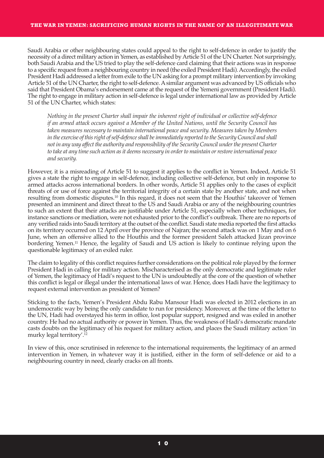#### **THE WAR IN YEMEN: SACRIFICING HUMAN RIGHTS IN THE NAME OF AN ILLEGITIMATE WAR**

Saudi Arabia or other neighbouring states could appeal to the right to self-defence in order to justify the necessity of a direct military action in Yemen, as established by Article 51 of the UN Charter. Not surprisingly, both Saudi Arabia and the US tried to play the self-defence card claiming that their actions was in response to a specific request from a neighbouring country in need (the exiled President Hadi). Accordingly, the exiled President Hadi addressed a letter from exile to the UN asking for a prompt military intervention by invoking Article 51 of the UN Charter, the right to self-defence. A similar argument was advanced by US officials who said that President Obama's endorsement came at the request of the Yemeni government (President Hadi). The right to engage in military action in self-defence is legal underinternational law as provided by Article 51 of the UN Charter, which states:

*Nothing in the present Charter shall impair the inherent right of individual or collective self-defence if an armed attack occurs against a Member of the United Nations, until the Security Council has taken measures necessary to maintain international peace and security. Measures taken by Members in theexercise ofthisright ofself-defenceshall beimmediately reported to the SecurityCouncil and shall notin any way affect the authority and responsibility ofthe SecurityCouncil underthe present Charter to take at any timesuch action asit deems necessary in orderto maintain orrestoreinternational peace and security.*

However, it is a misreading of Article 51 to suggest it applies to the conflict in Yemen. Indeed, Article 51 gives a state the right to engage in self-defence, including collective self-defence, but only in response to armed attacks across international borders. In other words, Article 51 applies only to the cases of explicit threats of or use of force against the territorial integrity of a certain state by another state, and not when resulting from domestic disputes. <sup>10</sup> In this regard, it does not seem that the Houthis' takeover of Yemen presented an imminent and direct threat to the US and Saudi Arabia or any of the neighbouring countries to such an extent that their attacks are justifiable under Article 51, especially when other techniques, for instance sanctions or mediation, were not exhausted prior to the conflict's outbreak. There are no reports of any verified raids into Saudi territory at the outset of the conflict. Saudi state media reported the first attacks on its territory occurred on 12 April over the province of Najran; the second attack was on 1 May and on 6 June, when an offensive allied to the Houthis and the former president Saleh attacked Jizan province bordering Yemen. <sup>11</sup> Hence, the legality of Saudi and US action is likely to continue relying upon the questionable legitimacy of an exiled ruler.

The claim to legality of this conflict requires further considerations on the political role played by the former President Hadi in calling for military action. Mischaracterised as the only democratic and legitimate ruler of Yemen, the legitimacy of Hadi's request to the UN is undoubtedly at the core of the question of whether this conflict is legal or illegal under the international laws of war. Hence, does Hadi have the legitimacy to request external intervention as president of Yemen?

Sticking to the facts, Yemen's President Abdu Rabu Mansour Hadi was elected in 2012 elections in an undemocratic way by being the only candidate to run for presidency. Moreover, at the time of the letter to the UN, Hadi had overstayed his term in office, lost popular support, resigned and was exiled in another country. He had no actual authority or powerin Yemen. Thus, the weakness of Hadi's democratic mandate casts doubts on the legitimacy of his request for military action, and places the Saudi military action 'in murky legal territory'. 12

In view of this, once scrutinised in reference to the international requirements, the legitimacy of an armed intervention in Yemen, in whatever way it is justified, either in the form of self-defence or aid to a neighbouring country in need, clearly cracks on all fronts.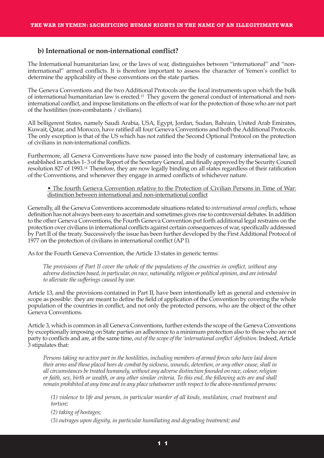### **b) International or non-international conflict?**

The International humanitarian law, or the laws of war, distinguishes between "international" and "noninternational" armed conflicts. It is therefore important to assess the character of Yemen's conflict to determine the applicability of these conventions on the state parties.

The Geneva Conventions and the two Additional Protocols are the focal instruments upon which the bulk of international humanitarian law is erected. <sup>13</sup> They govern the general conduct of international and noninternational conflict, and impose limitations on the effects of war for the protection of those who are not part of the hostilities (non-combatants / civilians).

All belligerent States, namely Saudi Arabia, USA, Egypt, Jordan, Sudan, Bahrain, United Arab Emirates, Kuwait, Qatar, and Morocco, have ratified all four Geneva Conventions and both the Additional Protocols. The only exception is that of the US which has not ratified the Second Optional Protocol on the protection of civilians in non-international conflicts.

Furthermore, all Geneva Conventions have now passed into the body of customary international law, as established in articles 1-3 of the Report of the Secretary General, and finally approved by the Security Council resolution 827 of 1993. <sup>14</sup> Therefore, they are now legally binding on all states regardless of their ratification of the Conventions, and whenever they engage in armed conflicts of whichever nature.

• The fourth Geneva Convention relative to the Protection of Civilian Persons in Time of War: distinction between international and non-international conflict

Generally, all the Geneva Conventions accommodate situations related to *international armed conflicts*, whose definition has not always been easy to ascertain and sometimes gives rise to controversial debates.In addition to the other Geneva Conventions, the Fourth Geneva Convention put forth additional legalrestrains on the protection over civilians in international conflicts against certain consequences of war, specifically addressed by Part II of the treaty. Successively the issue has been further developed by the First Additional Protocol of 1977 on the protection of civilians in international conflict (AP I).

As for the Fourth Geneva Convention, the Article 13 states in generic terms:

The provisions of Part II cover the whole of the populations of the countries in conflict, without any *adverse distinction based, in particular, on race, nationality,religion or political opinion, and areintended to alleviate the sufferings caused by war.*

Article 13, and the provisions contained in Part II, have been intentionally left as general and extensive in scope as possible: they are meant to define the field of application of the Convention by covering the whole population of the countries in conflict, and not only the protected persons, who are the object of the other Geneva Conventions.

Article 3, which is common in all Geneva Conventions, further extends the scope of the Geneva Conventions by exceptionally imposing on State parties an adherence to a minimum protection also to those who are not party to conflicts and are, at the same time, out of the scope of the 'international conflict' definition. Indeed, Article 3 stipulates that:

*Persons taking no active part in the hostilities, including members of armed forces who have laid down* their arms and those placed hors de combat by sickness, wounds, detention, or any other cause, shall in *all circumstances betreated humanely, without any adverse distinction founded on race, colour,religion* or faith, sex, birth or wealth, or any other similar criteria. To this end, the following acts are and shall *remain prohibited at any time and in any place whatsoever with respect to the above-mentioned persons:*

*(1) violence to life and person, in particular murder of all kinds, mutilation, cruel treatment and torture;*

*(2) taking of hostages;*

*(3) outrages upon dignity, in particular humiliating and degrading treatment; and*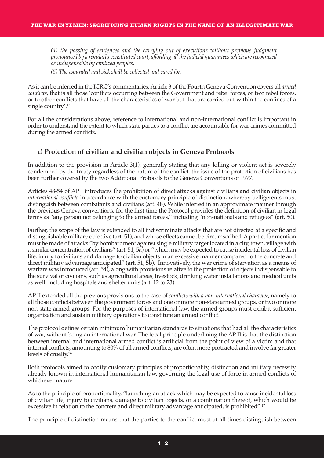*(4) the passing of sentences and the carrying out of executions without previous judgment pronounced by a regularly constituted court, affording allthejudicial guarantees which arerecognized as indispensable by civilized peoples.*

*(5) The wounded and sick shall be collected and cared for.*

As it can be inferred in the ICRC's commentaries, Article 3 of the Fourth Geneva Convention covers all *armed conflicts*, that is all those 'conflicts occurring between the Government and rebel forces, or two rebel forces, or to other conflicts that have all the characteristics of war but that are carried out within the confines of a single country'. 15

For all the considerations above, reference to international and non-international conflict is important in order to understand the extent to which state parties to a conflict are accountable for war crimes committed during the armed conflicts.

## **c) Protection of civilian and civilian objects in Geneva Protocols**

In addition to the provision in Article 3(1), generally stating that any killing or violent act is severely condemned by the treaty regardless of the nature of the conflict, the issue of the protection of civilians has been further covered by the two Additional Protocols to the Geneva Conventions of 1977.

Articles 48-54 of AP I introduces the prohibition of direct attacks against civilians and civilian objects in *international conflicts* in accordance with the customary principle of distinction, whereby belligerents must distinguish between combatants and civilians (art. 48). While inferred in an approximate manner through the previous Geneva conventions, for the first time the Protocol provides the definition of civilian in legal terms as "any person not belonging to the armed forces," including "non-nationals and refugees" (art. 50).

Further, the scope of the law is extended to all indiscriminate attacks that are not directed at a specific and distinguishable military objective (art. 51), and whose effects cannot be circumscribed. A particular mention must be made of attacks "by bombardment against single military target located in a city, town, village with a similar concentration of civilians" (art. 51, 5a) or "which may be expected to cause incidental loss of civilian life, injury to civilians and damage to civilian objects in an excessive manner compared to the concrete and direct military advantage anticipated" (art. 51, 5b). Innovatively, the war crime of starvation as a means of warfare was introduced (art. 54), along with provisions relative to the protection of objects indispensable to the survival of civilians, such as agricultural areas, livestock, drinking water installations and medical units as well, including hospitals and shelter units (art. 12 to 23).

AP II extended all the previous provisions to the case of *conflicts with a non-international character*, namely to all those conflicts between the government forces and one or more non-state armed groups, ortwo or more non-state armed groups. For the purposes of international law, the armed groups must exhibit sufficient organization and sustain military operations to constitute an armed conflict.

The protocol defines certain minimum humanitarian standards to situations that had all the characteristics of war, without being an international war. The focal principle underlining the AP II is that the distinction between internal and international armed conflict is artificial from the point of view of a victim and that internal conflicts, amounting to 80% of all armed conflicts, are often more protracted and involve far greater levels of cruelty. 16

Both protocols aimed to codify customary principles of proportionality, distinction and military necessity already known in international humanitarian law, governing the legal use of force in armed conflicts of whichever nature.

As to the principle of proportionality, "launching an attack which may be expected to cause incidental loss of civilian life, injury to civilians, damage to civilian objects, or a combination thereof, which would be excessive in relation to the concrete and direct military advantage anticipated, is prohibited". 17

The principle of distinction means that the parties to the conflict must at all times distinguish between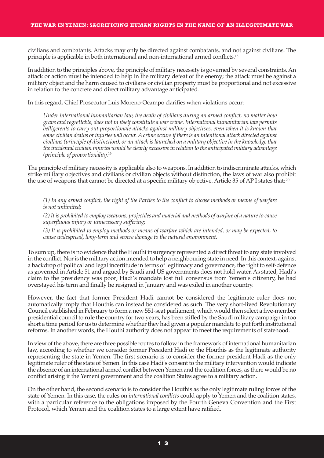civilians and combatants. Attacks may only be directed against combatants, and not against civilians. The principle is applicable in both international and non-international armed conflicts. 18

In addition to the principles above, the principle of military necessity is governed by several constraints.An attack or action must be intended to help in the military defeat of the enemy; the attack must be against a military object and the harm caused to civilians or civilian property must be proportional and not excessive in relation to the concrete and direct military advantage anticipated.

In this regard, Chief Prosecutor Luis Moreno-Ocampo clarifies when violations occur:

*Under international humanitarian law, the death of civilians during an armed conflict, no matter how grave and regrettable, does not in itself constitute a war crime. International humanitarian law permits belligerents to carry out proportionate attacks against military objectives, even when it is known that some civilian deaths orinjuries will occur. Acrime occursif thereis an intentional attack directed against civilians(principle of distinction), or an attack islaunched on a military objectivein the knowledgethat theincidental civilian injuries would be clearly excessivein relation to the anticipated military advantage (principle of proportionality.* 19

The principle of military necessity is applicable also to weapons.In addition to indiscriminate attacks, which strike military objectives and civilians or civilian objects without distinction, the laws of war also prohibit the use of weapons that cannot be directed at a specific military objective. Article 35 of AP I states that: 20

(1) In any armed conflict, the right of the Parties to the conflict to choose methods or means of warfare *is not unlimited;*

*(2)Itis prohibited to employ weapons, projectiles and material and methods of warfare of a natureto cause superfluous injury or unnecessary suffering;*

(3) It is prohibited to employ methods or means of warfare which are intended, or may be expected, to *cause widespread, long-term and severe damage to the natural environment.*

To sum up, there is no evidence that the Houthi insurgency represented a direct threat to any state involved in the conflict. Nor is the military action intended to help a neighbouring state in need. In this context, against a backdrop of political and legal incertitude in terms of legitimacy and governance, the right to self-defence as governed in Article 51 and argued by Saudi and US governments does not hold water. As stated, Hadi's claim to the presidency was poor; Hadi's mandate lost full consensus from Yemen's citizenry, he had overstayed his term and finally he resigned in January and was exiled in another country.

However, the fact that former President Hadi cannot be considered the legitimate ruler does not automatically imply that Houthis can instead be considered as such. The very short-lived Revolutionary Council established in February to form a new 551-seat parliament, which would then select a five-member presidential council to rule the country for two years, has been stifled by the Saudi military campaign in too short a time period for us to determine whether they had given a popular mandate to put forth institutional reforms. In another words, the Houthi authority does not appear to meet the requirements of statehood.

In view of the above, there are three possible routes to follow in the framework of international humanitarian law, according to whether we consider former President Hadi or the Houthis as the legitimate authority representing the state in Yemen. The first scenario is to consider the former president Hadi as the only legitimate ruler of the state of Yemen. In this case Hadi's consent to the military intervention would indicate the absence of an international armed conflict between Yemen and the coalition forces, as there would be no conflict arising if the Yemeni government and the coalition States agree to a military action.

On the other hand, the second scenario is to consider the Houthis as the only legitimate ruling forces of the state of Yemen. In this case, the rules on *international conflicts* could apply to Yemen and the coalition states, with a particular reference to the obligations imposed by the Fourth Geneva Convention and the First Protocol, which Yemen and the coalition states to a large extent have ratified.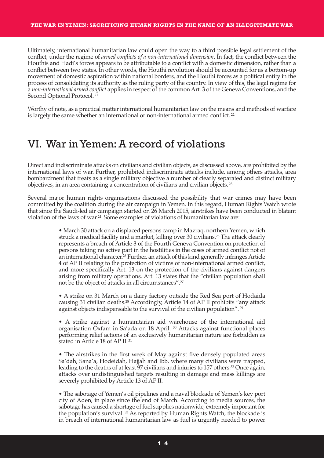#### **THE WAR IN YEMEN: SACRIFICING HUMAN RIGHTS IN THE NAME OF AN ILLEGITIMATE WAR**

Ultimately, international humanitarian law could open the way to a third possible legal settlement of the conflict, under the regime of *armed conflicts of a non-international dimension*. In fact, the conflict between the Houthis and Hadi's forces appears to be attributable to a conflict with a domestic dimension, rather than a conflict between two states. In other words, the Houthi revolution should be accounted for as a bottom-up movement of domestic aspiration within national borders, and the Houthi forces as a political entity in the process of consolidating its authority as the ruling party of the country. In view of this, the legal regime for a *non-international armed conflict* applies in respect of the commonArt. 3 of the Geneva Conventions, and the Second Optional Protocol. <sup>21</sup>

Worthy of note, as a practical matter international humanitarian law on the means and methods of warfare is largely the same whether an international or non-international armed conflict.<sup>22</sup>

## VI. War inYemen:A record of violations

Direct and indiscriminate attacks on civilians and civilian objects, as discussed above, are prohibited by the international laws of war. Further, prohibited indiscriminate attacks include, among others attacks, area bombardment that treats as a single military objective a number of clearly separated and distinct military objectives, in an area containing a concentration of civilians and civilian objects. <sup>23</sup>

Several major human rights organisations discussed the possibility that war crimes may have been committed by the coalition during the air campaign in Yemen. In this regard, Human Rights Watch wrote that since the Saudi-led air campaign started on 26 March 2015, airstrikes have been conducted in blatant violation of the laws of war. <sup>24</sup> Some examples of violations of humanitarian law are:

> • March 30 attack on a displaced persons camp in Mazraq, northern Yemen, which struck a medical facility and a market, killing over 30 civilians. <sup>25</sup> The attack clearly represents a breach of Article 3 of the Fourth Geneva Convention on protection of persons taking no active part in the hostilities in the cases of armed conflict not of an international character.<sup>26</sup> Further, an attack of this kind generally infringes Article 4 of AP II relating to the protection of victims of non-international armed conflict, and more specifically Art. 13 on the protection of the civilians against dangers arising from military operations. Art. 13 states that the "civilian population shall not be the object of attacks in all circumstances". 27

> • A strike on 31 March on a dairy factory outside the Red Sea port of Hodaida causing 31 civilian deaths. <sup>28</sup> Accordingly, Article 14 of AP II prohibits "any attack against objects indispensable to the survival of the civilian population". <sup>29</sup>

> • A strike against a humanitarian aid warehouse of the international aid organisation Oxfam in Sa'ada on 18 April. <sup>30</sup> Attacks against functional places performing relief actions of an exclusively humanitarian nature are forbidden as stated in Article 18 of AP II. <sup>31</sup>

> • The airstrikes in the first week of May against five densely populated areas Sa'dah, Sana'a, Hodeidah, Hajjah and Ibb, where many civilians were trapped, leading to the deaths of at least 97 civilians and injuries to 157 others. <sup>32</sup> Once again, attacks over undistinguished targets resulting in damage and mass killings are severely prohibited by Article 13 of AP II.

> • The sabotage of Yemen's oil pipelines and a naval blockade of Yemen's key port city of Aden, in place since the end of March. According to media sources, the sabotage has caused a shortage of fuel supplies nationwide, extremely important for the population's survival. <sup>33</sup> As reported by Human Rights Watch, the blockade is in breach of international humanitarian law as fuel is urgently needed to power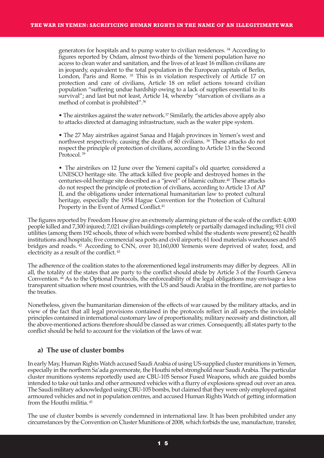generators for hospitals and to pump water to civilian residences. <sup>34</sup> According to figures reported by Oxfam, almost two-thirds of the Yemeni population have no access to clean water and sanitation, and the lives of at least 16 million civilians are in jeopardy, equivalent to the total population in the European capitals of Berlin, London, Paris and Rome. <sup>35</sup> This is in violation respectively of Article 17 on protection and care of civilians, Article 18 on relief actions toward civilian population "suffering undue hardship owing to a lack of supplies essential to its survival"; and last but not least, Article 14, whereby "starvation of civilians as a method of combat is prohibited". 36

• The airstrikes against the water network. <sup>37</sup> Similarly, the articles above apply also to attacks directed at damaging infrastructure, such as the water pipe system.

• The 27 May airstrikes against Sanaa and Hajjah provinces in Yemen's west and northwest respectively, causing the death of 80 civilians. 38 These attacks do not respect the principle of protection of civilians, according toArticle 13 in the Second Protocol.<sup>39</sup>

• The airstrikes on 12 June over the Yemeni capital's old quarter, considered a UNESCO heritage site. The attack killed five people and destroyed homes in the centuries-old heritage site described as a "jewel" of Islamic culture. <sup>40</sup> These attacks do not respect the principle of protection of civilians, according to Article 13 of AP II, and the obligations under international humanitarian law to protect cultural heritage, especially the 1954 Hague Convention for the Protection of Cultural Property in the Event of Armed Conflict. 41

The figures reported by Freedom House give an extremely alarming picture of the scale of the conflict: 4,000 people killed and 7,300 injured; 7,021 civilian buildings completely or partially damaged including; 931 civil utilities (among them 192 schools, three of which were bombed whilst the students were present); 62 health institutions and hospitals; five commercial sea ports and civil airports; 61 food materials warehouses and 65 bridges and roads. <sup>42</sup> According to CNN, over 10,160,000 Yemenis were deprived of water, food, and electricity as a result of the conflict. <sup>43</sup>

The adherence of the coalition states to the aforementioned legal instruments may differ by degrees. All in all, the totality of the states that are party to the conflict should abide by Article 3 of the Fourth Geneva Convention. <sup>44</sup> As to the Optional Protocols, the enforceability of the legal obligations may envisage a less transparent situation where most countries, with the US and Saudi Arabia in the frontline, are not parties to the treaties.

Nonetheless, given the humanitarian dimension of the effects of war caused by the military attacks, and in view of the fact that all legal provisions contained in the protocols reflect in all aspects the inviolable principles contained in international customary law of proportionality, military necessity and distinction, all the above-mentioned actions therefore should be classed as war crimes. Consequently, all states party to the conflict should be held to account for the violation of the laws of war.

## **a) The use of cluster bombs**

In early May, Human Rights Watch accused Saudi Arabia of using US-supplied cluster munitions in Yemen, especially in the northern Sa'ada governorate, the Houthi rebel stronghold near Saudi Arabia. The particular cluster munitions systems reportedly used are CBU-105 Sensor Fused Weapons, which are guided bombs intended to take out tanks and other armoured vehicles with a flurry of explosions spread out over an area. The Saudi military acknowledged using CBU-105 bombs, but claimed that they were only employed against armoured vehicles and not in population centres, and accused Human Rights Watch of getting information from the Houthi militia. <sup>45</sup>

The use of cluster bombs is severely condemned in international law. It has been prohibited under any circumstances by the Convention on Cluster Munitions of 2008, which forbids the use, manufacture, transfer,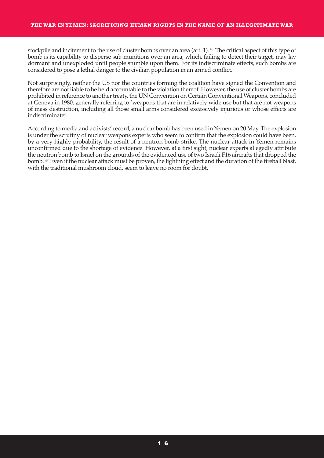stockpile and incitement to the use of cluster bombs over an area (art. 1). <sup>46</sup> The critical aspect of this type of bomb is its capability to disperse sub-munitions over an area, which, failing to detect their target, may lay dormant and unexploded until people stumble upon them. For its indiscriminate effects, such bombs are considered to pose a lethal danger to the civilian population in an armed conflict.

Not surprisingly, neither the US nor the countries forming the coalition have signed the Convention and therefore are not liable to be held accountable to the violation thereof. However, the use of cluster bombs are prohibited in reference to another treaty, the UN Convention on Certain Conventional Weapons, concluded at Geneva in 1980, generally referring to 'weapons that are in relatively wide use but that are not weapons of mass destruction, including all those small arms considered excessively injurious or whose effects are indiscriminate'.

According to media and activists' record, a nuclear bomb has been used in Yemen on 20 May. The explosion is under the scrutiny of nuclear weapons experts who seem to confirm that the explosion could have been, by a very highly probability, the result of a neutron bomb strike. The nuclear attack in Yemen remains unconfirmed due to the shortage of evidence. However, at a first sight, nuclear experts allegedly attribute the neutron bomb to Israel on the grounds of the evidenced use of two Israeli F16 aircrafts that dropped the bomb. <sup>47</sup> Even if the nuclear attack must be proven, the lightning effect and the duration of the fireball blast, with the traditional mushroom cloud, seem to leave no room for doubt.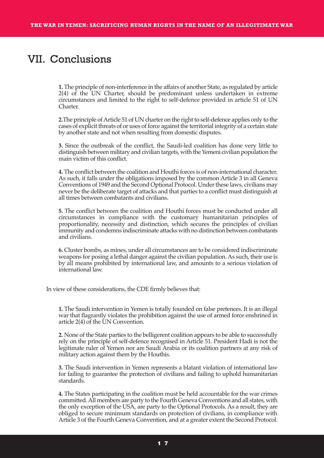## VII. Conclusions

**1.** The principle of non-interference in the affairs of another State, as regulated by article 2(4) of the UN Charter, should be predominant unless undertaken in extreme circumstances and limited to the right to self-defence provided in article 51 of UN Charter.

**2.** The principle of Article 51 of UN charter on the right to self-defence applies only to the cases of explicit threats of or uses of force against the territorial integrity of a certain state by another state and not when resulting from domestic disputes.

**3.** Since the outbreak of the conflict, the Saudi-led coalition has done very little to distinguish between military and civilian targets, with the Yemeni civilian population the main victim of this conflict.

**4.** The conflict between the coalition and Houthi forces is of non-international character. As such, it falls under the obligations imposed by the common Article 3 in all Geneva Conventions of 1949 and the Second Optional Protocol. Under these laws, civilians may never be the deliberate target of attacks and that parties to a conflict must distinguish at all times between combatants and civilians.

**5.** The conflict between the coalition and Houthi forces must be conducted under all circumstances in compliance with the customary humanitarian principles of proportionality, necessity and distinction, which secures the principles of civilian immunity and condemns indiscriminate attacks with no distinction between combatants and civilians.

**6.** Cluster bombs, as mines, under all circumstances are to be considered indiscriminate weapons for posing a lethal danger against the civilian population. As such, their use is by all means prohibited by international law, and amounts to a serious violation of international law.

In view of these considerations, the CDE firmly believes that:

**1.** The Saudi intervention in Yemen is totally founded on false pretences. It is an illegal war that flagrantly violates the prohibition against the use of armed force enshrined in article 2(4) of the UN Convention.

**2.** None of the State parties to the belligerent coalition appears to be able to successfully rely on the principle of self-defence recognised in Article 51. President Hadi is not the legitimate ruler of Yemen nor are Saudi Arabia or its coalition partners at any risk of military action against them by the Houthis.

**3.** The Saudi intervention in Yemen represents a blatant violation of international law for failing to guarantee the protection of civilians and failing to uphold humanitarian standards.

**4.** The States participating in the coalition must be held accountable for the war crimes committed.All members are party to the Fourth Geneva Conventions and all states, with the only exception of the USA, are party to the Optional Protocols. As a result, they are obliged to secure minimum standards on protection of civilians, in compliance with Article 3 of the Fourth Geneva Convention, and at a greater extent the Second Protocol.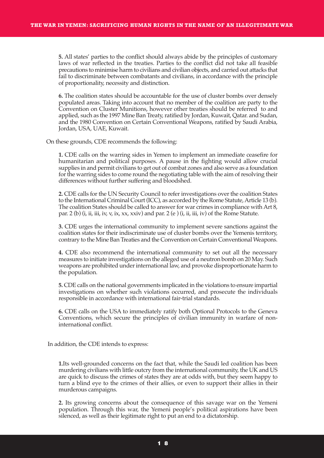**5.** All states' parties to the conflict should always abide by the principles of customary laws of war reflected in the treaties. Parties to the conflict did not take all feasible precautions to minimise harm to civilians and civilian objects, and carried out attacks that fail to discriminate between combatants and civilians, in accordance with the principle of proportionality, necessity and distinction.

**6.** The coalition states should be accountable for the use of cluster bombs over densely populated areas. Taking into account that no member of the coalition are party to the Convention on Cluster Munitions, however other treaties should be referred to and applied, such as the 1997 Mine Ban Treaty, ratified by Jordan, Kuwait, Qatar. and Sudan, and the 1980 Convention on Certain Conventional Weapons, ratified by Saudi Arabia, Jordan, USA, UAE, Kuwait.

On these grounds, CDE recommends the following:

**1.** CDE calls on the warring sides in Yemen to implement an immediate ceasefire for humanitarian and political purposes. A pause in the fighting would allow crucial supplies in and permit civilians to get out of combat zones and also serve as a foundation for the warring sides to come round the negotiating table with the aim of resolving their differences without further suffering and bloodshed.

**2.** CDE calls for the UN Security Council to refer investigations over the coalition States to the International Criminal Court (ICC), as accorded by the Rome Statute, Article 13 (b). The coalition States should be called to answer for war crimes in compliance with Art 8, par. 2 (b) (i, ii, iii, iv, v, ix, xx, xxiv) and par. 2 (e) (i, ii, iii, iv) of the Rome Statute.

**3.** CDE urges the international community to implement severe sanctions against the coalition states for their indiscriminate use of cluster bombs over the Yemenis territory, contrary to the Mine Ban Treaties and the Convention on Certain ConventionalWeapons.

**4.** CDE also recommend the international community to set out all the necessary measures to initiate investigations on the alleged use of a neutron bomb on 20 May. Such weapons are prohibited under international law, and provoke disproportionate harm to the population.

**5.** CDE calls on the national governments implicated in the violations to ensure impartial investigations on whether such violations occurred, and prosecute the individuals responsible in accordance with international fair-trial standards.

**6.** CDE calls on the USA to immediately ratify both Optional Protocols to the Geneva Conventions, which secure the principles of civilian immunity in warfare of noninternational conflict.

In addition, the CDE intends to express:

**1.**Its well-grounded concerns on the fact that, while the Saudi led coalition has been murdering civilians with little outcry from the international community, the UK and US are quick to discuss the crimes of states they are at odds with, but they seem happy to turn a blind eye to the crimes of their allies, or even to support their allies in their murderous campaigns.

**2.** Its growing concerns about the consequence of this savage war on the Yemeni population. Through this war, the Yemeni people's political aspirations have been silenced, as well as their legitimate right to put an end to a dictatorship.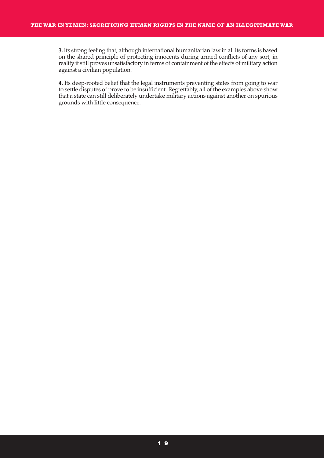**3.**Its strong feeling that, although international humanitarian law in all its forms is based on the shared principle of protecting innocents during armed conflicts of any sort, in reality it still proves unsatisfactory in terms of containment of the effects of military action against a civilian population.

**4.** Its deep-rooted belief that the legal instruments preventing states from going to war to settle disputes of prove to be insufficient. Regrettably, all of the examples above show that a state can still deliberately undertake military actions against another on spurious grounds with little consequence.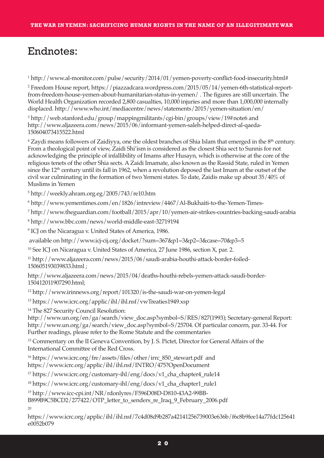## Endnotes:

<sup>1</sup> http://www.al-monitor.com/pulse/security/2014/01/yemen-poverty-conflict-food-insecurity.html#

<sup>2</sup> Freedom House report, https://piazzadcara.wordpress.com/2015/05/14/yemen-6th-statistical-reportfrom-freedom-house-yemen-about-humanitarian-status-in-yemen/ . The figures are still uncertain. The World Health Organization recorded 2,800 casualties, 10,000 injuries and more than 1,000,000 internally displaced. http://www.who.int/mediacentre/news/statements/2015/yemen-situation/en/

<sup>3</sup> http://web.stanford.edu/group/mappingmilitants/cgi-bin/groups/view/19#note6 and http://www.aljazeera.com/news/2015/06/informant-yemen-saleh-helped-direct-al-qaeda-150604073415522.html

<sup>4</sup> Zaydi means followers of Zaidiyya, one the oldest branches of Shia Islam that emerged in the 8<sup>th</sup> century. From a theological point of view, Zaidi Shi'ism is considered as the closest Shia sect to Sunnis for not acknowledging the principle of infallibility of Imams after Husayn, which is otherwise at the core of the religious tenets of the other Shia sects. AZaidi Imamate, also known as the Rassid State, ruled in Yemen since the 12<sup>th</sup> century until its fall in 1962, when a revolution deposed the last Imam at the outset of the civil war culminating in the formation of two Yemeni states. To date, Zaidis make up about 35/40% of Muslims in Yemen

<sup>5</sup> http://weekly.ahram.org.eg/2005/743/re10.htm

<sup>6</sup> http://www.yementimes.com/en/1826/intreview/4467/Al-Bukhaiti-to-the-Yemen-Times-

<sup>7</sup> http://www.theguardian.com/football/2015/apr/10/yemen-air-strikes-countries-backing-saudi-arabia

<sup>8</sup> http://www.bbc.com/news/world-middle-east-32719194

<sup>9</sup> ICJ on the Nicaragua v. United States of America, 1986.

available on http://www.icj-cij.org/docket/?sum=367&p1=3&p2=3&case=70&p3=5

<sup>10</sup> See ICJ on Nicaragua v. United States of America, 27 June 1986, section X, par. 2.

<sup>11</sup> http://www.aljazeera.com/news/2015/06/saudi-arabia-houthi-attack-border-foiled-150605193039833.html ;

http://www.aljazeera.com/news/2015/04/deaths-houthi-rebels-yemen-attack-saudi-border-150412011907290.html;

<sup>12</sup> http://www.irinnews.org/report/101320/is-the-saudi-war-on-yemen-legal

<sup>13</sup> https://www.icrc.org/applic/ihl/ihl.nsf/vwTreaties1949.xsp

<sup>14</sup> The 827 Security Council Resolution:

http://www.un.org/en/ga/search/view\_doc.asp?symbol=S/RES/827(1993); Secretary-general Report: http://www.un.org/ga/search/view\_doc.asp?symbol=S/25704. Of particular concern, par. 33-44. For Further readings, please refer to the Rome Statute and the commentaries

<sup>15</sup> Commentary on the II Geneva Convention, by J. S. Pictet, Director for General Affairs of the International Committee of the Red Cross.

<sup>16</sup> https://www.icrc.org/fre/assets/files/other/irrc\_850\_stewart.pdf and https://www.icrc.org/applic/ihl/ihl.nsf/INTRO/475?OpenDocument

<sup>17</sup> https://www.icrc.org/customary-ihl/eng/docs/v1 cha\_chapter4\_rule14

<sup>18</sup> https://www.icrc.org/customary-ihl/eng/docs/v1 cha\_chapter1\_rule1

*<sup>19</sup>* http://www.icc-cpi.int/NR/rdonlyres/F596D08D-D810-43A2-99BB-

B899B9C5BCD2/277422/OTP\_letter\_to\_senders\_re\_Iraq\_9\_February\_2006.pdf

20

https://www.icrc.org/applic/ihl/ihl.nsf/7c4d08d9b287a42141256739003e636b/f6c8b9fee14a77fdc125641 e0052b079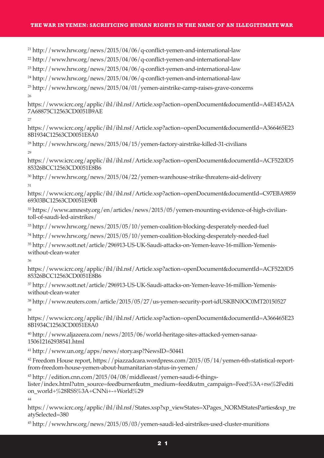#### **THE WAR IN YEMEN: SACRIFICING HUMAN RIGHTS IN THE NAME OF AN ILLEGITIMATE WAR**

<sup>21</sup> http://www.hrw.org/news/2015/04/06/q-conflict-yemen-and-international-law

 $^{22}$  http://www.hrw.org/news/2015/04/06/q-conflict-yemen-and-international-law

 $^{23}$  http://www.hrw.org/news/2015/04/06/q-conflict-yemen-and-international-law

<sup>24</sup> http://www.hrw.org/news/2015/04/06/q-conflict-yemen-and-international-law

 $^{25}$  http://www.hrw.org/news/2015/04/01/yemen-airstrike-camp-raises-grave-concerns  $26$ 

https://www.icrc.org/applic/ihl/ihl.nsf/Article.xsp?action=openDocument&documentId=A4E145A2A 7A68875C12563CD0051B9AE

27

https://www.icrc.org/applic/ihl/ihl.nsf/Article.xsp?action=openDocument&documentId=A366465E23 8B1934C12563CD0051E8A0

<sup>28</sup> http://www.hrw.org/news/2015/04/15/yemen-factory-airstrike-killed-31-civilians 29

https://www.icrc.org/applic/ihl/ihl.nsf/Article.xsp?action=openDocument&documentId=ACF5220D5 85326BCC12563CD0051E8B6

<sup>30</sup> http://www.hrw.org/news/2015/04/22/yemen-warehouse-strike-threatens-aid-delivery 31

https://www.icrc.org/applic/ihl/ihl.nsf/Article.xsp?action=openDocument&documentId=C97EBA9859 69303BC12563CD0051E90B

<sup>32</sup> https://www.amnesty.org/en/articles/news/2015/05/yemen-mounting-evidence-of-high-civiliantoll-of-saudi-led-airstrikes/

<sup>33</sup> http://www.hrw.org/news/2015/05/10/yemen-coalition-blocking-desperately-needed-fuel

<sup>34</sup> http://www.hrw.org/news/2015/05/10/yemen-coalition-blocking-desperately-needed-fuel

<sup>35</sup> http://www.sott.net/article/296913-US-UK-Saudi-attacks-on-Yemen-leave-16-million-Yemeniswithout-clean-water

36

https://www.icrc.org/applic/ihl/ihl.nsf/Article.xsp?action=openDocument&documentId=ACF5220D5 85326BCC12563CD0051E8B6

<sup>37</sup> http://www.sott.net/article/296913-US-UK-Saudi-attacks-on-Yemen-leave-16-million-Yemeniswithout-clean-water

<sup>38</sup> http://www.reuters.com/article/2015/05/27/us-yemen-security-port-idUSKBN0OC0MT20150527 39

https://www.icrc.org/applic/ihl/ihl.nsf/Article.xsp?action=openDocument&documentId=A366465E23 8B1934C12563CD0051E8A0

<sup>40</sup> http://www.aljazeera.com/news/2015/06/world-heritage-sites-attacked-yemen-sanaa-150612162938541.html

<sup>41</sup> http://www.un.org/apps/news/story.asp?NewsID=50441

<sup>42</sup> Freedom House report, https://piazzadcara.wordpress.com/2015/05/14/yemen-6th-statistical-reportfrom-freedom-house-yemen-about-humanitarian-status-in-yemen/

<sup>43</sup> http://edition.cnn.com/2015/04/08/middleeast/yemen-saudi-6-things-

lister/index.html?utm\_source=feedburner&utm\_medium=feed&utm\_campaign=Feed%3A+rss%2Fediti on\_world+%28RSS%3A+CNNi+-+World%29

44

https://www.icrc.org/applic/ihl/ihl.nsf/States.xsp?xp\_viewStates=XPages\_NORMStatesParties&xp\_tre atySelected=380

<sup>45</sup> http://www.hrw.org/news/2015/05/03/yemen-saudi-led-airstrikes-used-cluster-munitions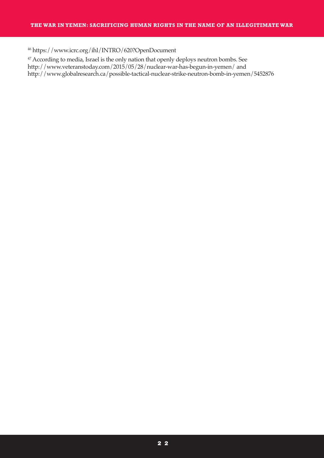<sup>46</sup> https://www.icrc.org/ihl/INTRO/620?OpenDocument

<sup>47</sup> According to media, Israel is the only nation that openly deploys neutron bombs. See http://www.veteranstoday.com/2015/05/28/nuclear-war-has-begun-in-yemen/ and http://www.globalresearch.ca/possible-tactical-nuclear-strike-neutron-bomb-in-yemen/5452876